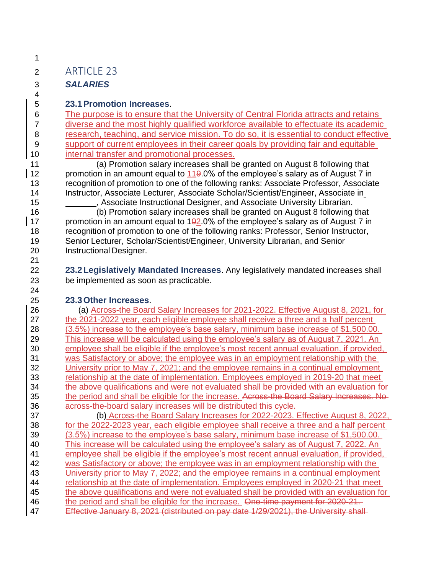## ARTICLE 23

### *SALARIES*

#### **23.1Promotion Increases**.

 The purpose is to ensure that the University of Central Florida attracts and retains diverse and the most highly qualified workforce available to effectuate its academic research, teaching, and service mission. To do so, it is essential to conduct effective support of current employees in their career goals by providing fair and equitable internal transfer and promotional processes.

 (a) Promotion salary increases shall be granted on August 8 following that 12 promotion in an amount equal to 119.0% of the employee's salary as of August 7 in recognition of promotion to one of the following ranks: Associate Professor, Associate Instructor, Associate Lecturer, Associate Scholar/Scientist/Engineer, Associate in

**15** , Associate Instructional Designer, and Associate University Librarian.

 (b) Promotion salary increases shall be granted on August 8 following that 17 promotion in an amount equal to  $102.0\%$  of the employee's salary as of August 7 in recognition of promotion to one of the following ranks: Professor, Senior Instructor, Senior Lecturer, Scholar/Scientist/Engineer, University Librarian, and Senior Instructional Designer.

 **23.2Legislatively Mandated Increases**. Any legislatively mandated increases shall be implemented as soon as practicable.

#### **23.3Other Increases**.

 (a) Across-the Board Salary Increases for 2021-2022. Effective August 8, 2021, for the 2021-2022 year, each eligible employee shall receive a three and a half percent (3.5%) increase to the employee's base salary, minimum base increase of \$1,500.00. This increase will be calculated using the employee's salary as of August 7, 2021. An employee shall be eligible if the employee's most recent annual evaluation, if provided, was Satisfactory or above; the employee was in an employment relationship with the University prior to May 7, 2021; and the employee remains in a continual employment relationship at the date of implementation. Employees employed in 2019-20 that meet the above qualifications and were not evaluated shall be provided with an evaluation for 35 the period and shall be eligible for the increase. Across-the Board Salary Increases. No across-the-board salary increases will be distributed this cycle.

 (b) Across-the Board Salary Increases for 2022-2023. Effective August 8, 2022, for the 2022-2023 year, each eligible employee shall receive a three and a half percent (3.5%) increase to the employee's base salary, minimum base increase of \$1,500.00. This increase will be calculated using the employee's salary as of August 7, 2022. An 41 employee shall be eligible if the employee's most recent annual evaluation, if provided, was Satisfactory or above; the employee was in an employment relationship with the University prior to May 7, 2022; and the employee remains in a continual employment relationship at the date of implementation. Employees employed in 2020-21 that meet the above qualifications and were not evaluated shall be provided with an evaluation for 46 the period and shall be eligible for the increase. One-time payment for 2020-21. 47 Effective January 8, 2021 (distributed on pay date 1/29/2021), the University shall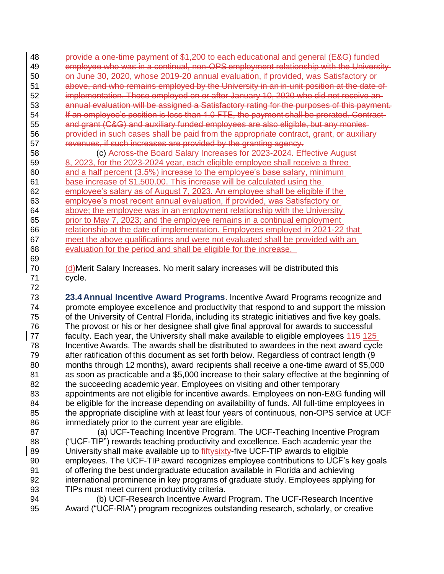provide a one-time payment of \$1,200 to each educational and general (E&G) funded employee who was in a continual, non-OPS employment relationship with the University on June 30, 2020, whose 2019-20 annual evaluation, if provided, was Satisfactory or 51 above, and who remains employed by the University in an in-unit position at the date of implementation. Those employed on or after January 10, 2020 who did not receive an annual evaluation will be assigned a Satisfactory rating for the purposes of this payment. 54 If an employee's position is less than 1.0 FTE, the payment shall be prorated. Contract- and grant (C&G) and auxiliary funded employees are also eligible, but any monies 56 provided in such cases shall be paid from the appropriate contract, grant, or auxiliary-revenues, if such increases are provided by the granting agency.

 (c) Across-the Board Salary Increases for 2023-2024. Effective August 8, 2023, for the 2023-2024 year, each eligible employee shall receive a three and a half percent (3.5%) increase to the employee's base salary, minimum base increase of \$1,500.00. This increase will be calculated using the employee's salary as of August 7, 2023. An employee shall be eligible if the employee's most recent annual evaluation, if provided, was Satisfactory or above; the employee was in an employment relationship with the University prior to May 7, 2023; and the employee remains in a continual employment relationship at the date of implementation. Employees employed in 2021-22 that meet the above qualifications and were not evaluated shall be provided with an evaluation for the period and shall be eligible for the increase. 

 (d)Merit Salary Increases. No merit salary increases will be distributed this cycle.

 **23.4Annual Incentive Award Programs**. Incentive Award Programs recognize and promote employee excellence and productivity that respond to and support the mission of the University of Central Florida, including its strategic initiatives and five key goals. The provost or his or her designee shall give final approval for awards to successful 77 faculty. Each year, the University shall make available to eligible employees 445-125 Incentive Awards. The awards shall be distributed to awardees in the next award cycle after ratification of this document as set forth below. Regardless of contract length (9 months through 12 months), award recipients shall receive a one-time award of \$5,000 as soon as practicable and a \$5,000 increase to their salary effective at the beginning of the succeeding academic year. Employees on visiting and other temporary appointments are not eligible for incentive awards. Employees on non-E&G funding will be eligible for the increase depending on availability of funds. All full-time employees in 85 the appropriate discipline with at least four years of continuous, non-OPS service at UCF immediately prior to the current year are eligible.

 (a) UCF-Teaching Incentive Program. The UCF-Teaching Incentive Program ("UCF-TIP") rewards teaching productivity and excellence. Each academic year the 89 University shall make available up to  $\frac{f}{f}$  the UCF-TIP awards to eligible employees. The UCF-TIP award recognizes employee contributions to UCF's key goals of offering the best undergraduate education available in Florida and achieving international prominence in key programs of graduate study. Employees applying for TIPs must meet current productivity criteria.

 (b) UCF-Research Incentive Award Program. The UCF-Research Incentive Award ("UCF-RIA") program recognizes outstanding research, scholarly, or creative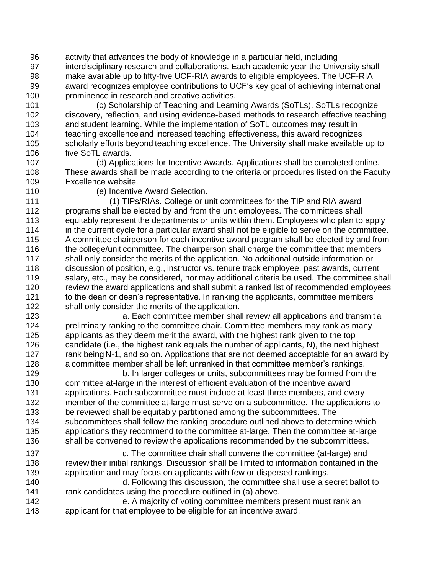activity that advances the body of knowledge in a particular field, including interdisciplinary research and collaborations. Each academic year the University shall make available up to fifty-five UCF-RIA awards to eligible employees. The UCF-RIA award recognizes employee contributions to UCF's key goal of achieving international prominence in research and creative activities.

 (c) Scholarship of Teaching and Learning Awards (SoTLs). SoTLs recognize discovery, reflection, and using evidence-based methods to research effective teaching and student learning. While the implementation of SoTL outcomes may result in teaching excellence and increased teaching effectiveness, this award recognizes scholarly efforts beyond teaching excellence. The University shall make available up to five SoTL awards.

 (d) Applications for Incentive Awards. Applications shall be completed online. These awards shall be made according to the criteria or procedures listed on the Faculty Excellence website.

(e) Incentive Award Selection.

 (1) TIPs/RIAs. College or unit committees for the TIP and RIA award programs shall be elected by and from the unit employees. The committees shall equitably represent the departments or units within them. Employees who plan to apply in the current cycle for a particular award shall not be eligible to serve on the committee. A committee chairperson for each incentive award program shall be elected by and from the college/unit committee. The chairperson shall charge the committee that members shall only consider the merits of the application. No additional outside information or discussion of position, e.g., instructor vs. tenure track employee, past awards, current 119 salary, etc., may be considered, nor may additional criteria be used. The committee shall review the award applications and shall submit a ranked list of recommended employees to the dean or dean's representative. In ranking the applicants, committee members shall only consider the merits of the application.

 a. Each committee member shall review all applications and transmit a preliminary ranking to the committee chair. Committee members may rank as many applicants as they deem merit the award, with the highest rank given to the top candidate (i.e., the highest rank equals the number of applicants, N), the next highest 127 rank being N-1, and so on. Applications that are not deemed acceptable for an award by a committee member shall be left unranked in that committee member's rankings.

 b. In larger colleges or units, subcommittees may be formed from the committee at-large in the interest of efficient evaluation of the incentive award applications. Each subcommittee must include at least three members, and every member of the committee at-large must serve on a subcommittee. The applications to be reviewed shall be equitably partitioned among the subcommittees. The subcommittees shall follow the ranking procedure outlined above to determine which applications they recommend to the committee at-large. Then the committee at-large 136 shall be convened to review the applications recommended by the subcommittees.

 c. The committee chair shall convene the committee (at-large) and review their initial rankings. Discussion shall be limited to information contained in the application and may focus on applicants with few or dispersed rankings.

 d. Following this discussion, the committee shall use a secret ballot to rank candidates using the procedure outlined in (a) above.

 e. A majority of voting committee members present must rank an applicant for that employee to be eligible for an incentive award.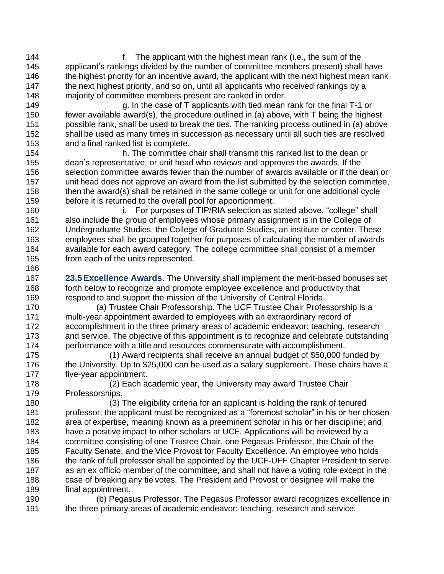f. The applicant with the highest mean rank (i.e., the sum of the applicant's rankings divided by the number of committee members present) shall have 146 the highest priority for an incentive award, the applicant with the next highest mean rank the next highest priority, and so on, until all applicants who received rankings by a majority of committee members present are ranked in order.

 g. In the case of T applicants with tied mean rank for the final T-1 or fewer available award(s), the procedure outlined in (a) above, with T being the highest possible rank, shall be used to break the ties. The ranking process outlined in (a) above shall be used as many times in succession as necessary until all such ties are resolved and a final ranked list is complete.

 h. The committee chair shall transmit this ranked list to the dean or dean's representative, or unit head who reviews and approves the awards. If the selection committee awards fewer than the number of awards available or if the dean or unit head does not approve an award from the list submitted by the selection committee, then the award(s) shall be retained in the same college or unit for one additional cycle before it is returned to the overall pool for apportionment.

 i. For purposes of TIP/RIA selection as stated above, "college" shall also include the group of employees whose primary assignment is in the College of Undergraduate Studies, the College of Graduate Studies, an institute or center. These employees shall be grouped together for purposes of calculating the number of awards available for each award category. The college committee shall consist of a member from each of the units represented.

 **23.5Excellence Awards**. The University shall implement the merit-based bonuses set forth below to recognize and promote employee excellence and productivity that respond to and support the mission of the University of Central Florida.

 (a) Trustee Chair Professorship. The UCF Trustee Chair Professorship is a multi-year appointment awarded to employees with an extraordinary record of accomplishment in the three primary areas of academic endeavor: teaching, research and service. The objective of this appointment is to recognize and celebrate outstanding performance with a title and resources commensurate with accomplishment.

 (1) Award recipients shall receive an annual budget of \$50,000 funded by the University. Up to \$25,000 can be used as a salary supplement. These chairs have a five-year appointment.

 (2) Each academic year, the University may award Trustee Chair Professorships.

 (3) The eligibility criteria for an applicant is holding the rank of tenured professor; the applicant must be recognized as a "foremost scholar" in his or her chosen area of expertise, meaning known as a preeminent scholar in his or her discipline; and have a positive impact to other scholars at UCF. Applications will be reviewed by a committee consisting of one Trustee Chair, one Pegasus Professor, the Chair of the Faculty Senate, and the Vice Provost for Faculty Excellence. An employee who holds 186 the rank of full professor shall be appointed by the UCF-UFF Chapter President to serve as an ex officio member of the committee, and shall not have a voting role except in the case of breaking any tie votes. The President and Provost or designee will make the final appointment.

 (b) Pegasus Professor. The Pegasus Professor award recognizes excellence in the three primary areas of academic endeavor: teaching, research and service.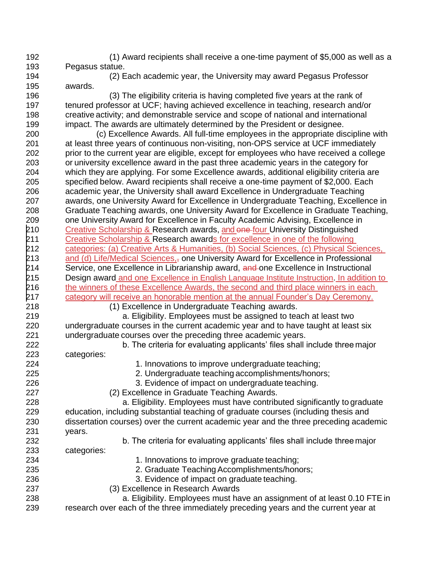(1) Award recipients shall receive a one-time payment of \$5,000 as well as a Pegasus statue.

 (2) Each academic year, the University may award Pegasus Professor awards.

 (3) The eligibility criteria is having completed five years at the rank of tenured professor at UCF; having achieved excellence in teaching, research and/or creative activity; and demonstrable service and scope of national and international impact. The awards are ultimately determined by the President or designee.

 (c) Excellence Awards. All full-time employees in the appropriate discipline with at least three years of continuous non-visiting, non-OPS service at UCF immediately prior to the current year are eligible, except for employees who have received a college or university excellence award in the past three academic years in the category for which they are applying. For some Excellence awards, additional eligibility criteria are specified below. Award recipients shall receive a one-time payment of \$2,000. Each academic year, the University shall award Excellence in Undergraduate Teaching awards, one University Award for Excellence in Undergraduate Teaching, Excellence in Graduate Teaching awards, one University Award for Excellence in Graduate Teaching, one University Award for Excellence in Faculty Academic Advising, Excellence in 210 Creative Scholarship & Research awards, and one four University Distinguished 211 Creative Scholarship & Research awards for excellence in one of the following categories: (a) Creative Arts & Humanities, (b) Social Sciences, (c) Physical Sciences, 213 and (d) Life/Medical Sciences, $_7$  one University Award for Excellence in Professional 214 Service, one Excellence in Librarianship award, and one Excellence in Instructional Design award and one Excellence in English Language Institute Instruction. In addition to 216 the winners of these Excellence Awards, the second and third place winners in each category will receive an honorable mention at the annual Founder's Day Ceremony.

(1) Excellence in Undergraduate Teaching awards.

 a. Eligibility. Employees must be assigned to teach at least two undergraduate courses in the current academic year and to have taught at least six undergraduate courses over the preceding three academic years.

 b. The criteria for evaluating applicants' files shall include three major categories:

1. Innovations to improve undergraduate teaching;

2. Undergraduate teaching accomplishments/honors;

3. Evidence of impact on undergraduate teaching.

(2) Excellence in Graduate Teaching Awards.

 a. Eligibility. Employees must have contributed significantly to graduate education, including substantial teaching of graduate courses (including thesis and dissertation courses) over the current academic year and the three preceding academic years.

b. The criteria for evaluating applicants' files shall include three major

categories:

1. Innovations to improve graduate teaching;

2. Graduate TeachingAccomplishments/honors;

3. Evidence of impact on graduate teaching.

(3) Excellence in Research Awards

a. Eligibility. Employees must have an assignment of at least 0.10 FTE in

research over each of the three immediately preceding years and the current year at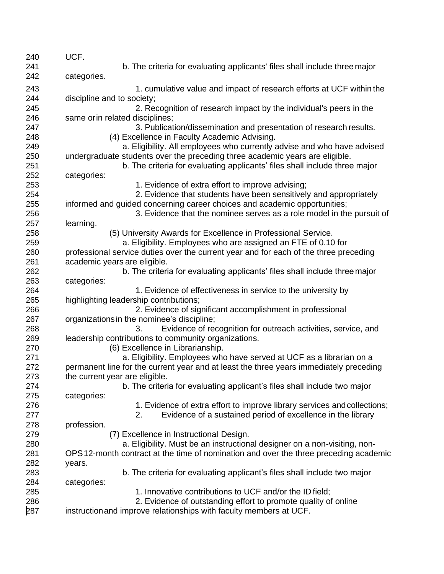| b. The criteria for evaluating applicants' files shall include three major<br>241<br>242<br>categories.<br>243<br>1. cumulative value and impact of research efforts at UCF within the<br>244<br>discipline and to society;<br>2. Recognition of research impact by the individual's peers in the<br>245<br>246<br>same or in related disciplines;<br>3. Publication/dissemination and presentation of research results.<br>247<br>(4) Excellence in Faculty Academic Advising.<br>248<br>a. Eligibility. All employees who currently advise and who have advised<br>249<br>250<br>undergraduate students over the preceding three academic years are eligible.<br>251<br>b. The criteria for evaluating applicants' files shall include three major<br>252<br>categories:<br>253<br>1. Evidence of extra effort to improve advising;<br>254<br>2. Evidence that students have been sensitively and appropriately<br>255<br>informed and guided concerning career choices and academic opportunities;<br>256<br>3. Evidence that the nominee serves as a role model in the pursuit of<br>learning.<br>257<br>(5) University Awards for Excellence in Professional Service.<br>258<br>a. Eligibility. Employees who are assigned an FTE of 0.10 for<br>259<br>260<br>professional service duties over the current year and for each of the three preceding<br>261<br>academic years are eligible.<br>262<br>b. The criteria for evaluating applicants' files shall include three major<br>263<br>categories:<br>1. Evidence of effectiveness in service to the university by<br>264<br>265<br>highlighting leadership contributions;<br>266<br>2. Evidence of significant accomplishment in professional<br>267<br>organizations in the nominee's discipline;<br>268<br>3.<br>Evidence of recognition for outreach activities, service, and<br>269<br>leadership contributions to community organizations.<br>270<br>(6) Excellence in Librarianship.<br>271<br>a. Eligibility. Employees who have served at UCF as a librarian on a<br>272<br>permanent line for the current year and at least the three years immediately preceding<br>273<br>the current year are eligible.<br>274<br>b. The criteria for evaluating applicant's files shall include two major<br>275<br>categories:<br>276<br>1. Evidence of extra effort to improve library services and collections;<br>277<br>Evidence of a sustained period of excellence in the library<br>2.<br>278<br>profession.<br>279<br>(7) Excellence in Instructional Design.<br>280<br>a. Eligibility. Must be an instructional designer on a non-visiting, non-<br>281<br>OPS 12-month contract at the time of nomination and over the three preceding academic<br>282<br>years.<br>b. The criteria for evaluating applicant's files shall include two major<br>283<br>284<br>categories:<br>285<br>1. Innovative contributions to UCF and/or the ID field;<br>2. Evidence of outstanding effort to promote quality of online<br>286<br>287<br>instruction and improve relationships with faculty members at UCF. | 240 | UCF. |
|---------------------------------------------------------------------------------------------------------------------------------------------------------------------------------------------------------------------------------------------------------------------------------------------------------------------------------------------------------------------------------------------------------------------------------------------------------------------------------------------------------------------------------------------------------------------------------------------------------------------------------------------------------------------------------------------------------------------------------------------------------------------------------------------------------------------------------------------------------------------------------------------------------------------------------------------------------------------------------------------------------------------------------------------------------------------------------------------------------------------------------------------------------------------------------------------------------------------------------------------------------------------------------------------------------------------------------------------------------------------------------------------------------------------------------------------------------------------------------------------------------------------------------------------------------------------------------------------------------------------------------------------------------------------------------------------------------------------------------------------------------------------------------------------------------------------------------------------------------------------------------------------------------------------------------------------------------------------------------------------------------------------------------------------------------------------------------------------------------------------------------------------------------------------------------------------------------------------------------------------------------------------------------------------------------------------------------------------------------------------------------------------------------------------------------------------------------------------------------------------------------------------------------------------------------------------------------------------------------------------------------------------------------------------------------------------------------------------------------------------------------------------------------------------------------------------------------------------------------------------------------------------------------------------------------------------------------------------------------------------------------------------------------------------------------------------|-----|------|
|                                                                                                                                                                                                                                                                                                                                                                                                                                                                                                                                                                                                                                                                                                                                                                                                                                                                                                                                                                                                                                                                                                                                                                                                                                                                                                                                                                                                                                                                                                                                                                                                                                                                                                                                                                                                                                                                                                                                                                                                                                                                                                                                                                                                                                                                                                                                                                                                                                                                                                                                                                                                                                                                                                                                                                                                                                                                                                                                                                                                                                                                     |     |      |
|                                                                                                                                                                                                                                                                                                                                                                                                                                                                                                                                                                                                                                                                                                                                                                                                                                                                                                                                                                                                                                                                                                                                                                                                                                                                                                                                                                                                                                                                                                                                                                                                                                                                                                                                                                                                                                                                                                                                                                                                                                                                                                                                                                                                                                                                                                                                                                                                                                                                                                                                                                                                                                                                                                                                                                                                                                                                                                                                                                                                                                                                     |     |      |
|                                                                                                                                                                                                                                                                                                                                                                                                                                                                                                                                                                                                                                                                                                                                                                                                                                                                                                                                                                                                                                                                                                                                                                                                                                                                                                                                                                                                                                                                                                                                                                                                                                                                                                                                                                                                                                                                                                                                                                                                                                                                                                                                                                                                                                                                                                                                                                                                                                                                                                                                                                                                                                                                                                                                                                                                                                                                                                                                                                                                                                                                     |     |      |
|                                                                                                                                                                                                                                                                                                                                                                                                                                                                                                                                                                                                                                                                                                                                                                                                                                                                                                                                                                                                                                                                                                                                                                                                                                                                                                                                                                                                                                                                                                                                                                                                                                                                                                                                                                                                                                                                                                                                                                                                                                                                                                                                                                                                                                                                                                                                                                                                                                                                                                                                                                                                                                                                                                                                                                                                                                                                                                                                                                                                                                                                     |     |      |
|                                                                                                                                                                                                                                                                                                                                                                                                                                                                                                                                                                                                                                                                                                                                                                                                                                                                                                                                                                                                                                                                                                                                                                                                                                                                                                                                                                                                                                                                                                                                                                                                                                                                                                                                                                                                                                                                                                                                                                                                                                                                                                                                                                                                                                                                                                                                                                                                                                                                                                                                                                                                                                                                                                                                                                                                                                                                                                                                                                                                                                                                     |     |      |
|                                                                                                                                                                                                                                                                                                                                                                                                                                                                                                                                                                                                                                                                                                                                                                                                                                                                                                                                                                                                                                                                                                                                                                                                                                                                                                                                                                                                                                                                                                                                                                                                                                                                                                                                                                                                                                                                                                                                                                                                                                                                                                                                                                                                                                                                                                                                                                                                                                                                                                                                                                                                                                                                                                                                                                                                                                                                                                                                                                                                                                                                     |     |      |
|                                                                                                                                                                                                                                                                                                                                                                                                                                                                                                                                                                                                                                                                                                                                                                                                                                                                                                                                                                                                                                                                                                                                                                                                                                                                                                                                                                                                                                                                                                                                                                                                                                                                                                                                                                                                                                                                                                                                                                                                                                                                                                                                                                                                                                                                                                                                                                                                                                                                                                                                                                                                                                                                                                                                                                                                                                                                                                                                                                                                                                                                     |     |      |
|                                                                                                                                                                                                                                                                                                                                                                                                                                                                                                                                                                                                                                                                                                                                                                                                                                                                                                                                                                                                                                                                                                                                                                                                                                                                                                                                                                                                                                                                                                                                                                                                                                                                                                                                                                                                                                                                                                                                                                                                                                                                                                                                                                                                                                                                                                                                                                                                                                                                                                                                                                                                                                                                                                                                                                                                                                                                                                                                                                                                                                                                     |     |      |
|                                                                                                                                                                                                                                                                                                                                                                                                                                                                                                                                                                                                                                                                                                                                                                                                                                                                                                                                                                                                                                                                                                                                                                                                                                                                                                                                                                                                                                                                                                                                                                                                                                                                                                                                                                                                                                                                                                                                                                                                                                                                                                                                                                                                                                                                                                                                                                                                                                                                                                                                                                                                                                                                                                                                                                                                                                                                                                                                                                                                                                                                     |     |      |
|                                                                                                                                                                                                                                                                                                                                                                                                                                                                                                                                                                                                                                                                                                                                                                                                                                                                                                                                                                                                                                                                                                                                                                                                                                                                                                                                                                                                                                                                                                                                                                                                                                                                                                                                                                                                                                                                                                                                                                                                                                                                                                                                                                                                                                                                                                                                                                                                                                                                                                                                                                                                                                                                                                                                                                                                                                                                                                                                                                                                                                                                     |     |      |
|                                                                                                                                                                                                                                                                                                                                                                                                                                                                                                                                                                                                                                                                                                                                                                                                                                                                                                                                                                                                                                                                                                                                                                                                                                                                                                                                                                                                                                                                                                                                                                                                                                                                                                                                                                                                                                                                                                                                                                                                                                                                                                                                                                                                                                                                                                                                                                                                                                                                                                                                                                                                                                                                                                                                                                                                                                                                                                                                                                                                                                                                     |     |      |
|                                                                                                                                                                                                                                                                                                                                                                                                                                                                                                                                                                                                                                                                                                                                                                                                                                                                                                                                                                                                                                                                                                                                                                                                                                                                                                                                                                                                                                                                                                                                                                                                                                                                                                                                                                                                                                                                                                                                                                                                                                                                                                                                                                                                                                                                                                                                                                                                                                                                                                                                                                                                                                                                                                                                                                                                                                                                                                                                                                                                                                                                     |     |      |
|                                                                                                                                                                                                                                                                                                                                                                                                                                                                                                                                                                                                                                                                                                                                                                                                                                                                                                                                                                                                                                                                                                                                                                                                                                                                                                                                                                                                                                                                                                                                                                                                                                                                                                                                                                                                                                                                                                                                                                                                                                                                                                                                                                                                                                                                                                                                                                                                                                                                                                                                                                                                                                                                                                                                                                                                                                                                                                                                                                                                                                                                     |     |      |
|                                                                                                                                                                                                                                                                                                                                                                                                                                                                                                                                                                                                                                                                                                                                                                                                                                                                                                                                                                                                                                                                                                                                                                                                                                                                                                                                                                                                                                                                                                                                                                                                                                                                                                                                                                                                                                                                                                                                                                                                                                                                                                                                                                                                                                                                                                                                                                                                                                                                                                                                                                                                                                                                                                                                                                                                                                                                                                                                                                                                                                                                     |     |      |
|                                                                                                                                                                                                                                                                                                                                                                                                                                                                                                                                                                                                                                                                                                                                                                                                                                                                                                                                                                                                                                                                                                                                                                                                                                                                                                                                                                                                                                                                                                                                                                                                                                                                                                                                                                                                                                                                                                                                                                                                                                                                                                                                                                                                                                                                                                                                                                                                                                                                                                                                                                                                                                                                                                                                                                                                                                                                                                                                                                                                                                                                     |     |      |
|                                                                                                                                                                                                                                                                                                                                                                                                                                                                                                                                                                                                                                                                                                                                                                                                                                                                                                                                                                                                                                                                                                                                                                                                                                                                                                                                                                                                                                                                                                                                                                                                                                                                                                                                                                                                                                                                                                                                                                                                                                                                                                                                                                                                                                                                                                                                                                                                                                                                                                                                                                                                                                                                                                                                                                                                                                                                                                                                                                                                                                                                     |     |      |
|                                                                                                                                                                                                                                                                                                                                                                                                                                                                                                                                                                                                                                                                                                                                                                                                                                                                                                                                                                                                                                                                                                                                                                                                                                                                                                                                                                                                                                                                                                                                                                                                                                                                                                                                                                                                                                                                                                                                                                                                                                                                                                                                                                                                                                                                                                                                                                                                                                                                                                                                                                                                                                                                                                                                                                                                                                                                                                                                                                                                                                                                     |     |      |
|                                                                                                                                                                                                                                                                                                                                                                                                                                                                                                                                                                                                                                                                                                                                                                                                                                                                                                                                                                                                                                                                                                                                                                                                                                                                                                                                                                                                                                                                                                                                                                                                                                                                                                                                                                                                                                                                                                                                                                                                                                                                                                                                                                                                                                                                                                                                                                                                                                                                                                                                                                                                                                                                                                                                                                                                                                                                                                                                                                                                                                                                     |     |      |
|                                                                                                                                                                                                                                                                                                                                                                                                                                                                                                                                                                                                                                                                                                                                                                                                                                                                                                                                                                                                                                                                                                                                                                                                                                                                                                                                                                                                                                                                                                                                                                                                                                                                                                                                                                                                                                                                                                                                                                                                                                                                                                                                                                                                                                                                                                                                                                                                                                                                                                                                                                                                                                                                                                                                                                                                                                                                                                                                                                                                                                                                     |     |      |
|                                                                                                                                                                                                                                                                                                                                                                                                                                                                                                                                                                                                                                                                                                                                                                                                                                                                                                                                                                                                                                                                                                                                                                                                                                                                                                                                                                                                                                                                                                                                                                                                                                                                                                                                                                                                                                                                                                                                                                                                                                                                                                                                                                                                                                                                                                                                                                                                                                                                                                                                                                                                                                                                                                                                                                                                                                                                                                                                                                                                                                                                     |     |      |
|                                                                                                                                                                                                                                                                                                                                                                                                                                                                                                                                                                                                                                                                                                                                                                                                                                                                                                                                                                                                                                                                                                                                                                                                                                                                                                                                                                                                                                                                                                                                                                                                                                                                                                                                                                                                                                                                                                                                                                                                                                                                                                                                                                                                                                                                                                                                                                                                                                                                                                                                                                                                                                                                                                                                                                                                                                                                                                                                                                                                                                                                     |     |      |
|                                                                                                                                                                                                                                                                                                                                                                                                                                                                                                                                                                                                                                                                                                                                                                                                                                                                                                                                                                                                                                                                                                                                                                                                                                                                                                                                                                                                                                                                                                                                                                                                                                                                                                                                                                                                                                                                                                                                                                                                                                                                                                                                                                                                                                                                                                                                                                                                                                                                                                                                                                                                                                                                                                                                                                                                                                                                                                                                                                                                                                                                     |     |      |
|                                                                                                                                                                                                                                                                                                                                                                                                                                                                                                                                                                                                                                                                                                                                                                                                                                                                                                                                                                                                                                                                                                                                                                                                                                                                                                                                                                                                                                                                                                                                                                                                                                                                                                                                                                                                                                                                                                                                                                                                                                                                                                                                                                                                                                                                                                                                                                                                                                                                                                                                                                                                                                                                                                                                                                                                                                                                                                                                                                                                                                                                     |     |      |
|                                                                                                                                                                                                                                                                                                                                                                                                                                                                                                                                                                                                                                                                                                                                                                                                                                                                                                                                                                                                                                                                                                                                                                                                                                                                                                                                                                                                                                                                                                                                                                                                                                                                                                                                                                                                                                                                                                                                                                                                                                                                                                                                                                                                                                                                                                                                                                                                                                                                                                                                                                                                                                                                                                                                                                                                                                                                                                                                                                                                                                                                     |     |      |
|                                                                                                                                                                                                                                                                                                                                                                                                                                                                                                                                                                                                                                                                                                                                                                                                                                                                                                                                                                                                                                                                                                                                                                                                                                                                                                                                                                                                                                                                                                                                                                                                                                                                                                                                                                                                                                                                                                                                                                                                                                                                                                                                                                                                                                                                                                                                                                                                                                                                                                                                                                                                                                                                                                                                                                                                                                                                                                                                                                                                                                                                     |     |      |
|                                                                                                                                                                                                                                                                                                                                                                                                                                                                                                                                                                                                                                                                                                                                                                                                                                                                                                                                                                                                                                                                                                                                                                                                                                                                                                                                                                                                                                                                                                                                                                                                                                                                                                                                                                                                                                                                                                                                                                                                                                                                                                                                                                                                                                                                                                                                                                                                                                                                                                                                                                                                                                                                                                                                                                                                                                                                                                                                                                                                                                                                     |     |      |
|                                                                                                                                                                                                                                                                                                                                                                                                                                                                                                                                                                                                                                                                                                                                                                                                                                                                                                                                                                                                                                                                                                                                                                                                                                                                                                                                                                                                                                                                                                                                                                                                                                                                                                                                                                                                                                                                                                                                                                                                                                                                                                                                                                                                                                                                                                                                                                                                                                                                                                                                                                                                                                                                                                                                                                                                                                                                                                                                                                                                                                                                     |     |      |
|                                                                                                                                                                                                                                                                                                                                                                                                                                                                                                                                                                                                                                                                                                                                                                                                                                                                                                                                                                                                                                                                                                                                                                                                                                                                                                                                                                                                                                                                                                                                                                                                                                                                                                                                                                                                                                                                                                                                                                                                                                                                                                                                                                                                                                                                                                                                                                                                                                                                                                                                                                                                                                                                                                                                                                                                                                                                                                                                                                                                                                                                     |     |      |
|                                                                                                                                                                                                                                                                                                                                                                                                                                                                                                                                                                                                                                                                                                                                                                                                                                                                                                                                                                                                                                                                                                                                                                                                                                                                                                                                                                                                                                                                                                                                                                                                                                                                                                                                                                                                                                                                                                                                                                                                                                                                                                                                                                                                                                                                                                                                                                                                                                                                                                                                                                                                                                                                                                                                                                                                                                                                                                                                                                                                                                                                     |     |      |
|                                                                                                                                                                                                                                                                                                                                                                                                                                                                                                                                                                                                                                                                                                                                                                                                                                                                                                                                                                                                                                                                                                                                                                                                                                                                                                                                                                                                                                                                                                                                                                                                                                                                                                                                                                                                                                                                                                                                                                                                                                                                                                                                                                                                                                                                                                                                                                                                                                                                                                                                                                                                                                                                                                                                                                                                                                                                                                                                                                                                                                                                     |     |      |
|                                                                                                                                                                                                                                                                                                                                                                                                                                                                                                                                                                                                                                                                                                                                                                                                                                                                                                                                                                                                                                                                                                                                                                                                                                                                                                                                                                                                                                                                                                                                                                                                                                                                                                                                                                                                                                                                                                                                                                                                                                                                                                                                                                                                                                                                                                                                                                                                                                                                                                                                                                                                                                                                                                                                                                                                                                                                                                                                                                                                                                                                     |     |      |
|                                                                                                                                                                                                                                                                                                                                                                                                                                                                                                                                                                                                                                                                                                                                                                                                                                                                                                                                                                                                                                                                                                                                                                                                                                                                                                                                                                                                                                                                                                                                                                                                                                                                                                                                                                                                                                                                                                                                                                                                                                                                                                                                                                                                                                                                                                                                                                                                                                                                                                                                                                                                                                                                                                                                                                                                                                                                                                                                                                                                                                                                     |     |      |
|                                                                                                                                                                                                                                                                                                                                                                                                                                                                                                                                                                                                                                                                                                                                                                                                                                                                                                                                                                                                                                                                                                                                                                                                                                                                                                                                                                                                                                                                                                                                                                                                                                                                                                                                                                                                                                                                                                                                                                                                                                                                                                                                                                                                                                                                                                                                                                                                                                                                                                                                                                                                                                                                                                                                                                                                                                                                                                                                                                                                                                                                     |     |      |
|                                                                                                                                                                                                                                                                                                                                                                                                                                                                                                                                                                                                                                                                                                                                                                                                                                                                                                                                                                                                                                                                                                                                                                                                                                                                                                                                                                                                                                                                                                                                                                                                                                                                                                                                                                                                                                                                                                                                                                                                                                                                                                                                                                                                                                                                                                                                                                                                                                                                                                                                                                                                                                                                                                                                                                                                                                                                                                                                                                                                                                                                     |     |      |
|                                                                                                                                                                                                                                                                                                                                                                                                                                                                                                                                                                                                                                                                                                                                                                                                                                                                                                                                                                                                                                                                                                                                                                                                                                                                                                                                                                                                                                                                                                                                                                                                                                                                                                                                                                                                                                                                                                                                                                                                                                                                                                                                                                                                                                                                                                                                                                                                                                                                                                                                                                                                                                                                                                                                                                                                                                                                                                                                                                                                                                                                     |     |      |
|                                                                                                                                                                                                                                                                                                                                                                                                                                                                                                                                                                                                                                                                                                                                                                                                                                                                                                                                                                                                                                                                                                                                                                                                                                                                                                                                                                                                                                                                                                                                                                                                                                                                                                                                                                                                                                                                                                                                                                                                                                                                                                                                                                                                                                                                                                                                                                                                                                                                                                                                                                                                                                                                                                                                                                                                                                                                                                                                                                                                                                                                     |     |      |
|                                                                                                                                                                                                                                                                                                                                                                                                                                                                                                                                                                                                                                                                                                                                                                                                                                                                                                                                                                                                                                                                                                                                                                                                                                                                                                                                                                                                                                                                                                                                                                                                                                                                                                                                                                                                                                                                                                                                                                                                                                                                                                                                                                                                                                                                                                                                                                                                                                                                                                                                                                                                                                                                                                                                                                                                                                                                                                                                                                                                                                                                     |     |      |
|                                                                                                                                                                                                                                                                                                                                                                                                                                                                                                                                                                                                                                                                                                                                                                                                                                                                                                                                                                                                                                                                                                                                                                                                                                                                                                                                                                                                                                                                                                                                                                                                                                                                                                                                                                                                                                                                                                                                                                                                                                                                                                                                                                                                                                                                                                                                                                                                                                                                                                                                                                                                                                                                                                                                                                                                                                                                                                                                                                                                                                                                     |     |      |
|                                                                                                                                                                                                                                                                                                                                                                                                                                                                                                                                                                                                                                                                                                                                                                                                                                                                                                                                                                                                                                                                                                                                                                                                                                                                                                                                                                                                                                                                                                                                                                                                                                                                                                                                                                                                                                                                                                                                                                                                                                                                                                                                                                                                                                                                                                                                                                                                                                                                                                                                                                                                                                                                                                                                                                                                                                                                                                                                                                                                                                                                     |     |      |
|                                                                                                                                                                                                                                                                                                                                                                                                                                                                                                                                                                                                                                                                                                                                                                                                                                                                                                                                                                                                                                                                                                                                                                                                                                                                                                                                                                                                                                                                                                                                                                                                                                                                                                                                                                                                                                                                                                                                                                                                                                                                                                                                                                                                                                                                                                                                                                                                                                                                                                                                                                                                                                                                                                                                                                                                                                                                                                                                                                                                                                                                     |     |      |
|                                                                                                                                                                                                                                                                                                                                                                                                                                                                                                                                                                                                                                                                                                                                                                                                                                                                                                                                                                                                                                                                                                                                                                                                                                                                                                                                                                                                                                                                                                                                                                                                                                                                                                                                                                                                                                                                                                                                                                                                                                                                                                                                                                                                                                                                                                                                                                                                                                                                                                                                                                                                                                                                                                                                                                                                                                                                                                                                                                                                                                                                     |     |      |
|                                                                                                                                                                                                                                                                                                                                                                                                                                                                                                                                                                                                                                                                                                                                                                                                                                                                                                                                                                                                                                                                                                                                                                                                                                                                                                                                                                                                                                                                                                                                                                                                                                                                                                                                                                                                                                                                                                                                                                                                                                                                                                                                                                                                                                                                                                                                                                                                                                                                                                                                                                                                                                                                                                                                                                                                                                                                                                                                                                                                                                                                     |     |      |
|                                                                                                                                                                                                                                                                                                                                                                                                                                                                                                                                                                                                                                                                                                                                                                                                                                                                                                                                                                                                                                                                                                                                                                                                                                                                                                                                                                                                                                                                                                                                                                                                                                                                                                                                                                                                                                                                                                                                                                                                                                                                                                                                                                                                                                                                                                                                                                                                                                                                                                                                                                                                                                                                                                                                                                                                                                                                                                                                                                                                                                                                     |     |      |
|                                                                                                                                                                                                                                                                                                                                                                                                                                                                                                                                                                                                                                                                                                                                                                                                                                                                                                                                                                                                                                                                                                                                                                                                                                                                                                                                                                                                                                                                                                                                                                                                                                                                                                                                                                                                                                                                                                                                                                                                                                                                                                                                                                                                                                                                                                                                                                                                                                                                                                                                                                                                                                                                                                                                                                                                                                                                                                                                                                                                                                                                     |     |      |
|                                                                                                                                                                                                                                                                                                                                                                                                                                                                                                                                                                                                                                                                                                                                                                                                                                                                                                                                                                                                                                                                                                                                                                                                                                                                                                                                                                                                                                                                                                                                                                                                                                                                                                                                                                                                                                                                                                                                                                                                                                                                                                                                                                                                                                                                                                                                                                                                                                                                                                                                                                                                                                                                                                                                                                                                                                                                                                                                                                                                                                                                     |     |      |
|                                                                                                                                                                                                                                                                                                                                                                                                                                                                                                                                                                                                                                                                                                                                                                                                                                                                                                                                                                                                                                                                                                                                                                                                                                                                                                                                                                                                                                                                                                                                                                                                                                                                                                                                                                                                                                                                                                                                                                                                                                                                                                                                                                                                                                                                                                                                                                                                                                                                                                                                                                                                                                                                                                                                                                                                                                                                                                                                                                                                                                                                     |     |      |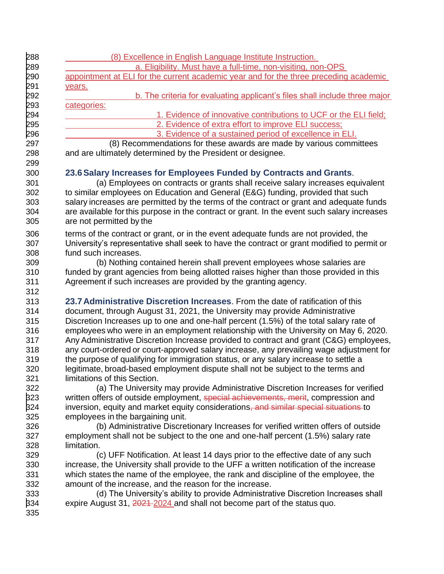| <u>(8) Excellence in English Language Institute Instruction.</u>                                                       |
|------------------------------------------------------------------------------------------------------------------------|
| a. Eligibility. Must have a full-time, non-visiting, non-OPS                                                           |
| appointment at ELI for the current academic year and for the three preceding academic                                  |
| years.                                                                                                                 |
| b. The criteria for evaluating applicant's files shall include three major                                             |
| categories:                                                                                                            |
| 1. Evidence of innovative contributions to UCF or the ELI field;                                                       |
| 2. Evidence of extra effort to improve ELI success;                                                                    |
| 3. Evidence of a sustained period of excellence in ELI.                                                                |
| (8) Recommendations for these awards are made by various committees                                                    |
| and are ultimately determined by the President or designee.                                                            |
|                                                                                                                        |
| 23.6 Salary Increases for Employees Funded by Contracts and Grants.                                                    |
| (a) Employees on contracts or grants shall receive salary increases equivalent                                         |
| to similar employees on Education and General (E&G) funding, provided that such                                        |
| salary increases are permitted by the terms of the contract or grant and adequate funds                                |
| are available for this purpose in the contract or grant. In the event such salary increases                            |
| are not permitted by the                                                                                               |
| terms of the contract or grant, or in the event adequate funds are not provided, the                                   |
| University's representative shall seek to have the contract or grant modified to permit or                             |
| fund such increases.                                                                                                   |
| (b) Nothing contained herein shall prevent employees whose salaries are                                                |
| funded by grant agencies from being allotted raises higher than those provided in this                                 |
| Agreement if such increases are provided by the granting agency.                                                       |
|                                                                                                                        |
| 23.7 Administrative Discretion Increases. From the date of ratification of this                                        |
| document, through August 31, 2021, the University may provide Administrative                                           |
| Discretion Increases up to one and one-half percent (1.5%) of the total salary rate of                                 |
| employees who were in an employment relationship with the University on May 6, 2020.                                   |
| Any Administrative Discretion Increase provided to contract and grant (C&G) employees,                                 |
| any court-ordered or court-approved salary increase, any prevailing wage adjustment for                                |
| the purpose of qualifying for immigration status, or any salary increase to settle a                                   |
| legitimate, broad-based employment dispute shall not be subject to the terms and                                       |
| limitations of this Section.                                                                                           |
| (a) The University may provide Administrative Discretion Increases for verified                                        |
| written offers of outside employment, special achievements, merit, compression and                                     |
| inversion, equity and market equity considerations, and similar special situations to                                  |
| employees in the bargaining unit.<br>(b) Administrative Discretionary Increases for verified written offers of outside |
| employment shall not be subject to the one and one-half percent (1.5%) salary rate                                     |
| limitation.                                                                                                            |
| (c) UFF Notification. At least 14 days prior to the effective date of any such                                         |
| increase, the University shall provide to the UFF a written notification of the increase                               |
| which states the name of the employee, the rank and discipline of the employee, the                                    |
| amount of the increase, and the reason for the increase.                                                               |
| (d) The University's ability to provide Administrative Discretion Increases shall                                      |
| expire August 31, 2021-2024 and shall not become part of the status quo.                                               |
|                                                                                                                        |
|                                                                                                                        |